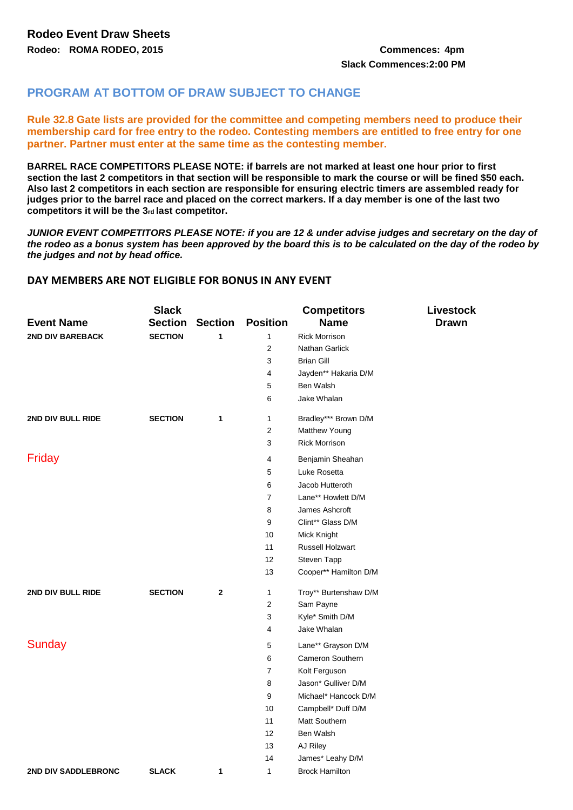## **PROGRAM AT BOTTOM OF DRAW SUBJECT TO CHANGE**

**Rule 32.8 Gate lists are provided for the committee and competing members need to produce their membership card for free entry to the rodeo. Contesting members are entitled to free entry for one partner. Partner must enter at the same time as the contesting member.**

**BARREL RACE COMPETITORS PLEASE NOTE: if barrels are not marked at least one hour prior to first section the last 2 competitors in that section will be responsible to mark the course or will be fined \$50 each. Also last 2 competitors in each section are responsible for ensuring electric timers are assembled ready for judges prior to the barrel race and placed on the correct markers. If a day member is one of the last two competitors it will be the 3rd last competitor.** 

*JUNIOR EVENT COMPETITORS PLEASE NOTE: if you are 12 & under advise judges and secretary on the day of the rodeo as a bonus system has been approved by the board this is to be calculated on the day of the rodeo by the judges and not by head office.* 

## **DAY MEMBERS ARE NOT ELIGIBLE FOR BONUS IN ANY EVENT**

|                         | <b>Slack</b>   |                |                         | <b>Competitors</b>      | Livestock    |
|-------------------------|----------------|----------------|-------------------------|-------------------------|--------------|
| <b>Event Name</b>       | <b>Section</b> | <b>Section</b> | <b>Position</b>         | <b>Name</b>             | <b>Drawn</b> |
| <b>2ND DIV BAREBACK</b> | <b>SECTION</b> | 1              | $\mathbf{1}$            | <b>Rick Morrison</b>    |              |
|                         |                |                | $\overline{2}$          | Nathan Garlick          |              |
|                         |                |                | 3                       | <b>Brian Gill</b>       |              |
|                         |                |                | 4                       | Jayden** Hakaria D/M    |              |
|                         |                |                | 5                       | Ben Walsh               |              |
|                         |                |                | 6                       | Jake Whalan             |              |
| 2ND DIV BULL RIDE       | <b>SECTION</b> | 1              | 1                       | Bradley*** Brown D/M    |              |
|                         |                |                | $\overline{2}$          | Matthew Young           |              |
|                         |                |                | 3                       | <b>Rick Morrison</b>    |              |
| Friday                  |                |                | 4                       | Benjamin Sheahan        |              |
|                         |                |                | 5                       | Luke Rosetta            |              |
|                         |                |                | 6                       | Jacob Hutteroth         |              |
|                         |                |                | $\overline{7}$          | Lane** Howlett D/M      |              |
|                         |                |                | 8                       | James Ashcroft          |              |
|                         |                |                | 9                       | Clint** Glass D/M       |              |
|                         |                |                | 10                      | Mick Knight             |              |
|                         |                |                | 11                      | Russell Holzwart        |              |
|                         |                |                | 12                      | Steven Tapp             |              |
|                         |                |                | 13                      | Cooper** Hamilton D/M   |              |
| 2ND DIV BULL RIDE       | <b>SECTION</b> | $\mathbf{2}$   | $\mathbf{1}$            | Troy** Burtenshaw D/M   |              |
|                         |                |                | $\overline{\mathbf{c}}$ | Sam Payne               |              |
|                         |                |                | 3                       | Kyle* Smith D/M         |              |
|                         |                |                | 4                       | Jake Whalan             |              |
| <b>Sunday</b>           |                |                | 5                       | Lane** Grayson D/M      |              |
|                         |                |                | 6                       | <b>Cameron Southern</b> |              |
|                         |                |                | $\overline{7}$          | Kolt Ferguson           |              |
|                         |                |                | 8                       | Jason* Gulliver D/M     |              |
|                         |                |                | 9                       | Michael* Hancock D/M    |              |
|                         |                |                | 10                      | Campbell* Duff D/M      |              |
|                         |                |                | 11                      | Matt Southern           |              |
|                         |                |                | 12                      | Ben Walsh               |              |
|                         |                |                | 13                      | AJ Riley                |              |
|                         |                |                | 14                      | James* Leahy D/M        |              |
| 2ND DIV SADDLEBRONC     | <b>SLACK</b>   | 1              | 1                       | <b>Brock Hamilton</b>   |              |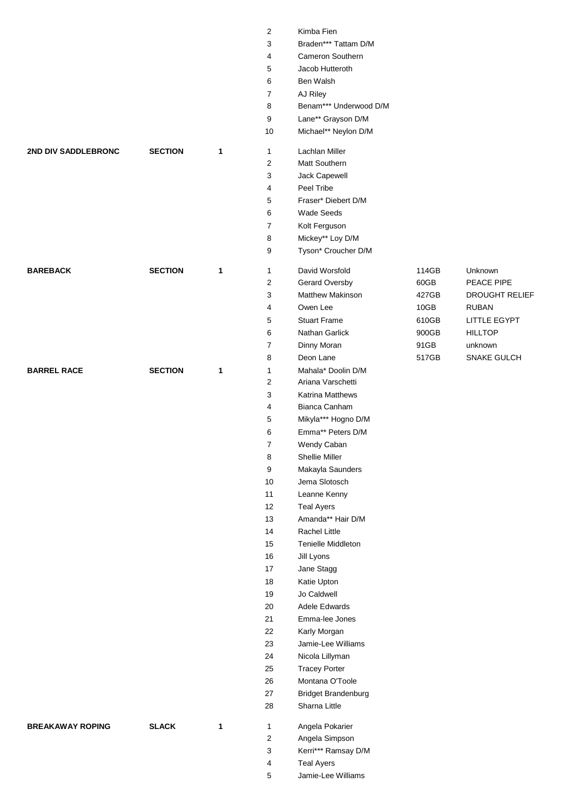|                         |                |   | 2                       | Kimba Fien                 |       |                       |
|-------------------------|----------------|---|-------------------------|----------------------------|-------|-----------------------|
|                         |                |   | 3                       | Braden*** Tattam D/M       |       |                       |
|                         |                |   | 4                       | Cameron Southern           |       |                       |
|                         |                |   | 5                       | Jacob Hutteroth            |       |                       |
|                         |                |   | 6                       | Ben Walsh                  |       |                       |
|                         |                |   | 7                       | AJ Riley                   |       |                       |
|                         |                |   | 8                       | Benam*** Underwood D/M     |       |                       |
|                         |                |   | 9                       | Lane** Grayson D/M         |       |                       |
|                         |                |   | 10                      | Michael** Neylon D/M       |       |                       |
| 2ND DIV SADDLEBRONC     | <b>SECTION</b> | 1 | $\mathbf{1}$            | Lachlan Miller             |       |                       |
|                         |                |   | 2                       | Matt Southern              |       |                       |
|                         |                |   | 3                       | Jack Capewell              |       |                       |
|                         |                |   | 4                       | Peel Tribe                 |       |                       |
|                         |                |   | 5                       | Fraser* Diebert D/M        |       |                       |
|                         |                |   | 6                       | <b>Wade Seeds</b>          |       |                       |
|                         |                |   | 7                       | Kolt Ferguson              |       |                       |
|                         |                |   | 8                       | Mickey** Loy D/M           |       |                       |
|                         |                |   | 9                       | Tyson* Croucher D/M        |       |                       |
| <b>BAREBACK</b>         | <b>SECTION</b> | 1 | $\mathbf{1}$            | David Worsfold             | 114GB | Unknown               |
|                         |                |   | $\overline{\mathbf{c}}$ | Gerard Oversby             | 60GB  | PEACE PIPE            |
|                         |                |   | 3                       | <b>Matthew Makinson</b>    | 427GB | <b>DROUGHT RELIEF</b> |
|                         |                |   | $\overline{\mathbf{4}}$ | Owen Lee                   | 10GB  | <b>RUBAN</b>          |
|                         |                |   | 5                       | <b>Stuart Frame</b>        | 610GB | LITTLE EGYPT          |
|                         |                |   | 6                       | Nathan Garlick             | 900GB | <b>HILLTOP</b>        |
|                         |                |   | 7                       | Dinny Moran                | 91GB  | unknown               |
|                         |                |   | 8                       | Deon Lane                  | 517GB | SNAKE GULCH           |
| <b>BARREL RACE</b>      | <b>SECTION</b> | 1 | $\mathbf{1}$            | Mahala* Doolin D/M         |       |                       |
|                         |                |   | 2                       | Ariana Varschetti          |       |                       |
|                         |                |   | 3                       | <b>Katrina Matthews</b>    |       |                       |
|                         |                |   | 4                       | Bianca Canham              |       |                       |
|                         |                |   | 5                       | Mikyla*** Hogno D/M        |       |                       |
|                         |                |   | 6                       | Emma** Peters D/M          |       |                       |
|                         |                |   | 7                       | Wendy Caban                |       |                       |
|                         |                |   | 8                       | Shellie Miller             |       |                       |
|                         |                |   | 9                       | Makayla Saunders           |       |                       |
|                         |                |   | 10 <sup>1</sup>         | Jema Slotosch              |       |                       |
|                         |                |   | 11                      | Leanne Kenny               |       |                       |
|                         |                |   | 12                      | <b>Teal Ayers</b>          |       |                       |
|                         |                |   | 13                      | Amanda** Hair D/M          |       |                       |
|                         |                |   | 14                      | Rachel Little              |       |                       |
|                         |                |   | 15                      | <b>Tenielle Middleton</b>  |       |                       |
|                         |                |   | 16                      | Jill Lyons                 |       |                       |
|                         |                |   | 17                      | Jane Stagg                 |       |                       |
|                         |                |   | 18                      | Katie Upton                |       |                       |
|                         |                |   | 19                      | Jo Caldwell                |       |                       |
|                         |                |   | 20                      | Adele Edwards              |       |                       |
|                         |                |   | 21                      | Emma-lee Jones             |       |                       |
|                         |                |   | 22                      | Karly Morgan               |       |                       |
|                         |                |   | 23                      | Jamie-Lee Williams         |       |                       |
|                         |                |   | 24                      | Nicola Lillyman            |       |                       |
|                         |                |   | 25                      | <b>Tracey Porter</b>       |       |                       |
|                         |                |   | 26                      | Montana O'Toole            |       |                       |
|                         |                |   | 27                      | <b>Bridget Brandenburg</b> |       |                       |
|                         |                |   | 28                      | Sharna Little              |       |                       |
| <b>BREAKAWAY ROPING</b> | <b>SLACK</b>   | 1 | $\mathbf{1}$            | Angela Pokarier            |       |                       |
|                         |                |   | 2                       | Angela Simpson             |       |                       |
|                         |                |   | 3                       | Kerri*** Ramsay D/M        |       |                       |
|                         |                |   | 4                       | <b>Teal Ayers</b>          |       |                       |
|                         |                |   | 5                       | Jamie-Lee Williams         |       |                       |
|                         |                |   |                         |                            |       |                       |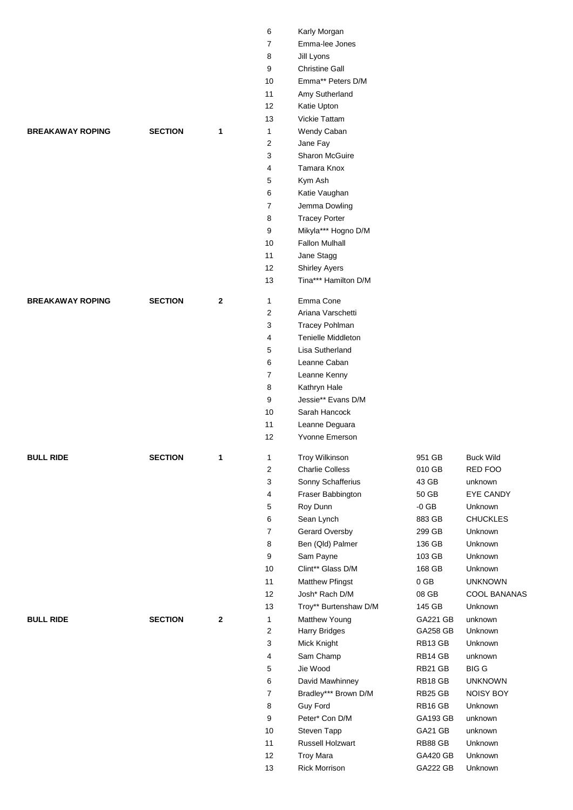|                         |                |              | 6                       | Karly Morgan              |                 |                  |
|-------------------------|----------------|--------------|-------------------------|---------------------------|-----------------|------------------|
|                         |                |              | 7                       | Emma-lee Jones            |                 |                  |
|                         |                |              | 8                       | Jill Lyons                |                 |                  |
|                         |                |              | 9                       | <b>Christine Gall</b>     |                 |                  |
|                         |                |              | 10                      | Emma** Peters D/M         |                 |                  |
|                         |                |              | 11                      | Amy Sutherland            |                 |                  |
|                         |                |              | 12                      | Katie Upton               |                 |                  |
|                         |                |              | 13                      | Vickie Tattam             |                 |                  |
| <b>BREAKAWAY ROPING</b> | <b>SECTION</b> | $\mathbf{1}$ | $\mathbf{1}$            | Wendy Caban               |                 |                  |
|                         |                |              | $\overline{2}$          | Jane Fay                  |                 |                  |
|                         |                |              | 3                       | <b>Sharon McGuire</b>     |                 |                  |
|                         |                |              | 4                       | Tamara Knox               |                 |                  |
|                         |                |              | 5                       | Kym Ash                   |                 |                  |
|                         |                |              | 6                       | Katie Vaughan             |                 |                  |
|                         |                |              | 7                       | Jemma Dowling             |                 |                  |
|                         |                |              | 8                       | <b>Tracey Porter</b>      |                 |                  |
|                         |                |              | 9                       | Mikyla*** Hogno D/M       |                 |                  |
|                         |                |              | 10                      | <b>Fallon Mulhall</b>     |                 |                  |
|                         |                |              | 11                      | Jane Stagg                |                 |                  |
|                         |                |              | 12                      | <b>Shirley Ayers</b>      |                 |                  |
|                         |                |              | 13                      | Tina*** Hamilton D/M      |                 |                  |
| <b>BREAKAWAY ROPING</b> | <b>SECTION</b> | $\mathbf{2}$ | 1                       | Emma Cone                 |                 |                  |
|                         |                |              | 2                       | Ariana Varschetti         |                 |                  |
|                         |                |              | 3                       | <b>Tracey Pohlman</b>     |                 |                  |
|                         |                |              | 4                       | <b>Tenielle Middleton</b> |                 |                  |
|                         |                |              | 5                       | Lisa Sutherland           |                 |                  |
|                         |                |              | 6                       | Leanne Caban              |                 |                  |
|                         |                |              | $\overline{7}$          | Leanne Kenny              |                 |                  |
|                         |                |              | 8                       | Kathryn Hale              |                 |                  |
|                         |                |              | 9                       | Jessie** Evans D/M        |                 |                  |
|                         |                |              | 10                      | Sarah Hancock             |                 |                  |
|                         |                |              | 11                      | Leanne Deguara            |                 |                  |
|                         |                |              | 12                      | Yvonne Emerson            |                 |                  |
| <b>BULL RIDE</b>        | <b>SECTION</b> | 1            | $\mathbf{1}$            | <b>Troy Wilkinson</b>     | 951 GB          | <b>Buck Wild</b> |
|                         |                |              | $\overline{\mathbf{c}}$ | <b>Charlie Colless</b>    | 010 GB          | RED FOO          |
|                         |                |              | $\sqrt{3}$              | Sonny Schafferius         | 43 GB           | unknown          |
|                         |                |              | $\overline{4}$          | Fraser Babbington         | 50 GB           | EYE CANDY        |
|                         |                |              | 5                       | Roy Dunn                  | $-0$ GB         | Unknown          |
|                         |                |              | 6                       | Sean Lynch                | 883 GB          | <b>CHUCKLES</b>  |
|                         |                |              | $\boldsymbol{7}$        | Gerard Oversby            | 299 GB          | Unknown          |
|                         |                |              | 8                       | Ben (Qld) Palmer          | 136 GB          | Unknown          |
|                         |                |              | 9                       | Sam Payne                 | 103 GB          | Unknown          |
|                         |                |              | $10\,$                  | Clint** Glass D/M         | 168 GB          | Unknown          |
|                         |                |              | 11                      | <b>Matthew Pfingst</b>    | $0$ GB          | <b>UNKNOWN</b>   |
|                         |                |              | 12                      | Josh* Rach D/M            | 08 GB           | COOL BANANAS     |
|                         |                |              | 13                      | Troy** Burtenshaw D/M     | 145 GB          | Unknown          |
| <b>BULL RIDE</b>        | <b>SECTION</b> | $\bf 2$      | 1                       | Matthew Young             | GA221 GB        | unknown          |
|                         |                |              | $\boldsymbol{2}$        | <b>Harry Bridges</b>      | <b>GA258 GB</b> | Unknown          |
|                         |                |              | $\sqrt{3}$              | Mick Knight               | RB13 GB         | Unknown          |
|                         |                |              | 4                       | Sam Champ                 | RB14 GB         | unknown          |
|                         |                |              | 5                       | Jie Wood                  | RB21 GB         | <b>BIG G</b>     |
|                         |                |              | 6                       | David Mawhinney           | RB18 GB         | <b>UNKNOWN</b>   |
|                         |                |              | $\boldsymbol{7}$        | Bradley*** Brown D/M      | RB25 GB         | NOISY BOY        |
|                         |                |              | 8                       | <b>Guy Ford</b>           | RB16 GB         | Unknown          |
|                         |                |              | 9                       | Peter* Con D/M            | GA193 GB        | unknown          |
|                         |                |              | $10\,$                  | Steven Tapp               | GA21 GB         | unknown          |
|                         |                |              | 11                      | Russell Holzwart          | RB88 GB         | Unknown          |
|                         |                |              | 12                      | <b>Troy Mara</b>          | <b>GA420 GB</b> | Unknown          |
|                         |                |              | 13                      | <b>Rick Morrison</b>      | <b>GA222 GB</b> | Unknown          |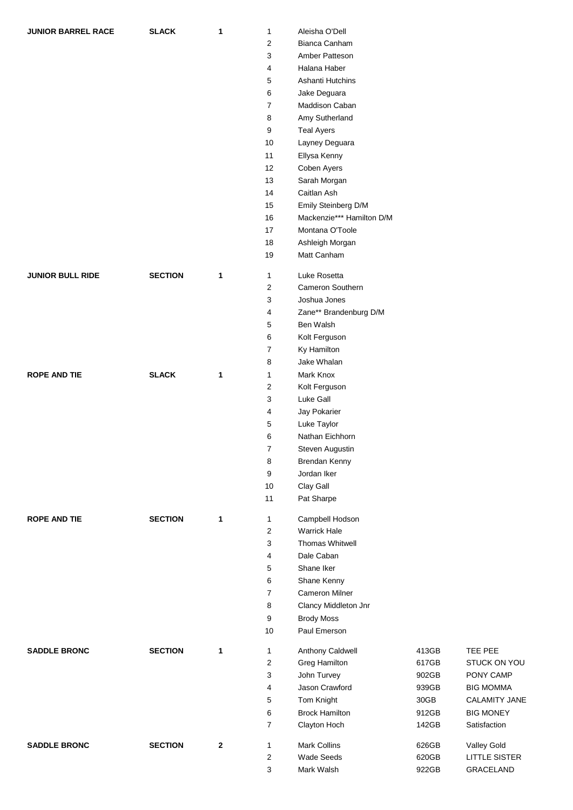| <b>JUNIOR BARREL RACE</b> | <b>SLACK</b>   | 1            | 1            | Aleisha O'Dell            |       |                  |
|---------------------------|----------------|--------------|--------------|---------------------------|-------|------------------|
|                           |                |              | 2            | Bianca Canham             |       |                  |
|                           |                |              | 3            | Amber Patteson            |       |                  |
|                           |                |              | 4            | Halana Haber              |       |                  |
|                           |                |              | 5            | Ashanti Hutchins          |       |                  |
|                           |                |              | 6            | Jake Deguara              |       |                  |
|                           |                |              | 7            | Maddison Caban            |       |                  |
|                           |                |              | 8            | Amy Sutherland            |       |                  |
|                           |                |              | 9            | <b>Teal Ayers</b>         |       |                  |
|                           |                |              | 10           | Layney Deguara            |       |                  |
|                           |                |              | 11           | Ellysa Kenny              |       |                  |
|                           |                |              | 12           | Coben Ayers               |       |                  |
|                           |                |              | 13           | Sarah Morgan              |       |                  |
|                           |                |              | 14           | Caitlan Ash               |       |                  |
|                           |                |              |              |                           |       |                  |
|                           |                |              | 15           | Emily Steinberg D/M       |       |                  |
|                           |                |              | 16           | Mackenzie*** Hamilton D/M |       |                  |
|                           |                |              | 17           | Montana O'Toole           |       |                  |
|                           |                |              | 18           | Ashleigh Morgan           |       |                  |
|                           |                |              | 19           | Matt Canham               |       |                  |
| <b>JUNIOR BULL RIDE</b>   | <b>SECTION</b> | 1            | 1            | Luke Rosetta              |       |                  |
|                           |                |              | 2            | <b>Cameron Southern</b>   |       |                  |
|                           |                |              | 3            | Joshua Jones              |       |                  |
|                           |                |              | 4            | Zane** Brandenburg D/M    |       |                  |
|                           |                |              | 5            | Ben Walsh                 |       |                  |
|                           |                |              | 6            | Kolt Ferguson             |       |                  |
|                           |                |              | 7            | Ky Hamilton               |       |                  |
|                           |                |              | 8            | Jake Whalan               |       |                  |
| <b>ROPE AND TIE</b>       | <b>SLACK</b>   |              |              |                           |       |                  |
|                           |                | 1            | 1<br>2       | Mark Knox                 |       |                  |
|                           |                |              |              | Kolt Ferguson             |       |                  |
|                           |                |              | 3            | Luke Gall                 |       |                  |
|                           |                |              | 4            | Jay Pokarier              |       |                  |
|                           |                |              | 5            | Luke Taylor               |       |                  |
|                           |                |              | 6            | Nathan Eichhorn           |       |                  |
|                           |                |              | 7            | Steven Augustin           |       |                  |
|                           |                |              | 8            | Brendan Kenny             |       |                  |
|                           |                |              | 9            | Jordan Iker               |       |                  |
|                           |                |              | 10           | Clay Gall                 |       |                  |
|                           |                |              | 11           | Pat Sharpe                |       |                  |
| <b>ROPE AND TIE</b>       | <b>SECTION</b> | 1            | $\mathbf{1}$ | Campbell Hodson           |       |                  |
|                           |                |              | 2            | <b>Warrick Hale</b>       |       |                  |
|                           |                |              | 3            | <b>Thomas Whitwell</b>    |       |                  |
|                           |                |              | 4            | Dale Caban                |       |                  |
|                           |                |              | 5            | Shane Iker                |       |                  |
|                           |                |              |              | Shane Kenny               |       |                  |
|                           |                |              | 6            |                           |       |                  |
|                           |                |              | 7            | <b>Cameron Milner</b>     |       |                  |
|                           |                |              | 8            | Clancy Middleton Jnr      |       |                  |
|                           |                |              | 9            | <b>Brody Moss</b>         |       |                  |
|                           |                |              | 10           | Paul Emerson              |       |                  |
| <b>SADDLE BRONC</b>       | <b>SECTION</b> | 1            | $\mathbf{1}$ | Anthony Caldwell          | 413GB | TEE PEE          |
|                           |                |              | 2            | Greg Hamilton             | 617GB | STUCK ON YOU     |
|                           |                |              | 3            | John Turvey               | 902GB | PONY CAMP        |
|                           |                |              | 4            | Jason Crawford            | 939GB | <b>BIG MOMMA</b> |
|                           |                |              | 5            | Tom Knight                | 30GB  | CALAMITY JANE    |
|                           |                |              | 6            | <b>Brock Hamilton</b>     | 912GB | <b>BIG MONEY</b> |
|                           |                |              | 7            | Clayton Hoch              | 142GB | Satisfaction     |
|                           |                |              |              |                           |       |                  |
| <b>SADDLE BRONC</b>       | <b>SECTION</b> | $\mathbf{2}$ | $\mathbf{1}$ | Mark Collins              | 626GB | Valley Gold      |
|                           |                |              | 2            | Wade Seeds                | 620GB | LITTLE SISTER    |
|                           |                |              | 3            | Mark Walsh                | 922GB | GRACELAND        |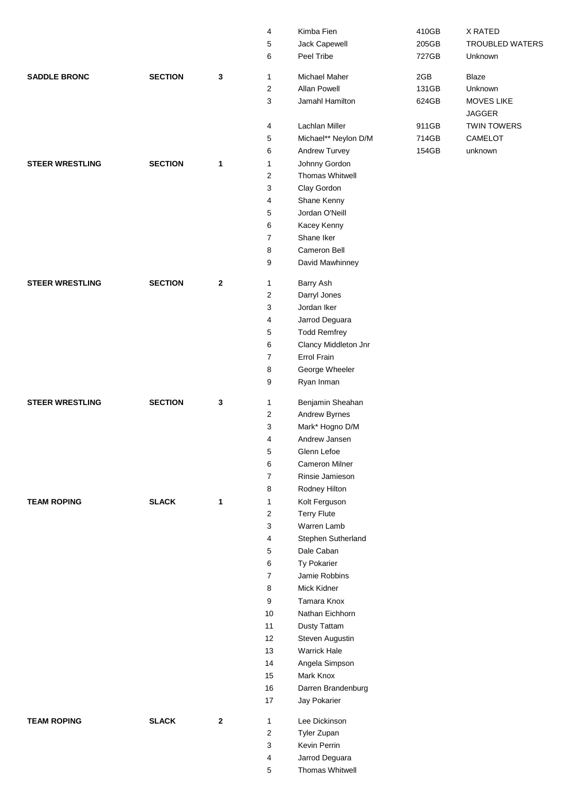| 5<br>Jack Capewell<br>205GB<br>6<br>Peel Tribe<br>727GB<br>Unknown<br>2GB<br><b>SADDLE BRONC</b><br><b>SECTION</b><br>3<br>Michael Maher<br><b>Blaze</b><br>1<br>$\overline{\mathbf{c}}$<br>Allan Powell<br>131GB<br>Unknown<br>3<br>Jamahl Hamilton<br>624GB<br>MOVES LIKE<br><b>JAGGER</b><br>Lachlan Miller<br>911GB<br><b>TWIN TOWERS</b><br>4<br>5<br>Michael** Neylon D/M<br>714GB<br>CAMELOT<br>6<br>Andrew Turvey<br>154GB<br>unknown<br><b>SECTION</b><br>Johnny Gordon<br><b>STEER WRESTLING</b><br>$\mathbf{1}$<br>1<br>$\overline{\mathbf{c}}$<br>Thomas Whitwell<br>3<br>Clay Gordon<br>4<br>Shane Kenny<br>5<br>Jordan O'Neill<br>6<br>Kacey Kenny<br>Shane Iker<br>7<br>Cameron Bell<br>8<br>9<br>David Mawhinney<br><b>STEER WRESTLING</b><br><b>SECTION</b><br>$\boldsymbol{2}$<br>1<br>Barry Ash<br>2<br>Darryl Jones<br>3<br>Jordan Iker<br>4<br>Jarrod Deguara<br>5<br><b>Todd Remfrey</b><br>6<br>Clancy Middleton Jnr<br>Errol Frain<br>7<br>George Wheeler<br>8<br>9<br>Ryan Inman<br><b>STEER WRESTLING</b><br><b>SECTION</b><br>3<br>1<br>Benjamin Sheahan<br>2<br>Andrew Byrnes<br>3<br>Mark* Hogno D/M<br>Andrew Jansen<br>4<br>5<br>Glenn Lefoe<br>6<br><b>Cameron Milner</b><br>7<br>Rinsie Jamieson<br>8<br>Rodney Hilton<br><b>SLACK</b><br><b>TEAM ROPING</b><br>$\mathbf{1}$<br>Kolt Ferguson<br>$\mathbf{1}$<br><b>Terry Flute</b><br>$\overline{c}$<br>3<br>Warren Lamb<br>4<br>Stephen Sutherland<br>5<br>Dale Caban<br>Ty Pokarier<br>6<br>$\overline{7}$<br>Jamie Robbins<br>8<br>Mick Kidner<br>9<br>Tamara Knox<br>Nathan Eichhorn<br>10<br>11<br>Dusty Tattam<br>12<br>Steven Augustin<br><b>Warrick Hale</b><br>13<br>14<br>Angela Simpson<br>Mark Knox<br>15<br>16<br>Darren Brandenburg<br>17<br>Jay Pokarier<br><b>SLACK</b><br><b>TEAM ROPING</b><br>$\mathbf{2}$<br>$\mathbf{1}$<br>Lee Dickinson |  | 4              | Kimba Fien  | 410GB | X RATED                |
|--------------------------------------------------------------------------------------------------------------------------------------------------------------------------------------------------------------------------------------------------------------------------------------------------------------------------------------------------------------------------------------------------------------------------------------------------------------------------------------------------------------------------------------------------------------------------------------------------------------------------------------------------------------------------------------------------------------------------------------------------------------------------------------------------------------------------------------------------------------------------------------------------------------------------------------------------------------------------------------------------------------------------------------------------------------------------------------------------------------------------------------------------------------------------------------------------------------------------------------------------------------------------------------------------------------------------------------------------------------------------------------------------------------------------------------------------------------------------------------------------------------------------------------------------------------------------------------------------------------------------------------------------------------------------------------------------------------------------------------------------------------------------------------------------------------------------------------------------|--|----------------|-------------|-------|------------------------|
|                                                                                                                                                                                                                                                                                                                                                                                                                                                                                                                                                                                                                                                                                                                                                                                                                                                                                                                                                                                                                                                                                                                                                                                                                                                                                                                                                                                                                                                                                                                                                                                                                                                                                                                                                                                                                                                  |  |                |             |       | <b>TROUBLED WATERS</b> |
|                                                                                                                                                                                                                                                                                                                                                                                                                                                                                                                                                                                                                                                                                                                                                                                                                                                                                                                                                                                                                                                                                                                                                                                                                                                                                                                                                                                                                                                                                                                                                                                                                                                                                                                                                                                                                                                  |  |                |             |       |                        |
|                                                                                                                                                                                                                                                                                                                                                                                                                                                                                                                                                                                                                                                                                                                                                                                                                                                                                                                                                                                                                                                                                                                                                                                                                                                                                                                                                                                                                                                                                                                                                                                                                                                                                                                                                                                                                                                  |  |                |             |       |                        |
|                                                                                                                                                                                                                                                                                                                                                                                                                                                                                                                                                                                                                                                                                                                                                                                                                                                                                                                                                                                                                                                                                                                                                                                                                                                                                                                                                                                                                                                                                                                                                                                                                                                                                                                                                                                                                                                  |  |                |             |       |                        |
|                                                                                                                                                                                                                                                                                                                                                                                                                                                                                                                                                                                                                                                                                                                                                                                                                                                                                                                                                                                                                                                                                                                                                                                                                                                                                                                                                                                                                                                                                                                                                                                                                                                                                                                                                                                                                                                  |  |                |             |       |                        |
|                                                                                                                                                                                                                                                                                                                                                                                                                                                                                                                                                                                                                                                                                                                                                                                                                                                                                                                                                                                                                                                                                                                                                                                                                                                                                                                                                                                                                                                                                                                                                                                                                                                                                                                                                                                                                                                  |  |                |             |       |                        |
|                                                                                                                                                                                                                                                                                                                                                                                                                                                                                                                                                                                                                                                                                                                                                                                                                                                                                                                                                                                                                                                                                                                                                                                                                                                                                                                                                                                                                                                                                                                                                                                                                                                                                                                                                                                                                                                  |  |                |             |       |                        |
|                                                                                                                                                                                                                                                                                                                                                                                                                                                                                                                                                                                                                                                                                                                                                                                                                                                                                                                                                                                                                                                                                                                                                                                                                                                                                                                                                                                                                                                                                                                                                                                                                                                                                                                                                                                                                                                  |  |                |             |       |                        |
|                                                                                                                                                                                                                                                                                                                                                                                                                                                                                                                                                                                                                                                                                                                                                                                                                                                                                                                                                                                                                                                                                                                                                                                                                                                                                                                                                                                                                                                                                                                                                                                                                                                                                                                                                                                                                                                  |  |                |             |       |                        |
|                                                                                                                                                                                                                                                                                                                                                                                                                                                                                                                                                                                                                                                                                                                                                                                                                                                                                                                                                                                                                                                                                                                                                                                                                                                                                                                                                                                                                                                                                                                                                                                                                                                                                                                                                                                                                                                  |  |                |             |       |                        |
|                                                                                                                                                                                                                                                                                                                                                                                                                                                                                                                                                                                                                                                                                                                                                                                                                                                                                                                                                                                                                                                                                                                                                                                                                                                                                                                                                                                                                                                                                                                                                                                                                                                                                                                                                                                                                                                  |  |                |             |       |                        |
|                                                                                                                                                                                                                                                                                                                                                                                                                                                                                                                                                                                                                                                                                                                                                                                                                                                                                                                                                                                                                                                                                                                                                                                                                                                                                                                                                                                                                                                                                                                                                                                                                                                                                                                                                                                                                                                  |  |                |             |       |                        |
|                                                                                                                                                                                                                                                                                                                                                                                                                                                                                                                                                                                                                                                                                                                                                                                                                                                                                                                                                                                                                                                                                                                                                                                                                                                                                                                                                                                                                                                                                                                                                                                                                                                                                                                                                                                                                                                  |  |                |             |       |                        |
|                                                                                                                                                                                                                                                                                                                                                                                                                                                                                                                                                                                                                                                                                                                                                                                                                                                                                                                                                                                                                                                                                                                                                                                                                                                                                                                                                                                                                                                                                                                                                                                                                                                                                                                                                                                                                                                  |  |                |             |       |                        |
|                                                                                                                                                                                                                                                                                                                                                                                                                                                                                                                                                                                                                                                                                                                                                                                                                                                                                                                                                                                                                                                                                                                                                                                                                                                                                                                                                                                                                                                                                                                                                                                                                                                                                                                                                                                                                                                  |  |                |             |       |                        |
|                                                                                                                                                                                                                                                                                                                                                                                                                                                                                                                                                                                                                                                                                                                                                                                                                                                                                                                                                                                                                                                                                                                                                                                                                                                                                                                                                                                                                                                                                                                                                                                                                                                                                                                                                                                                                                                  |  |                |             |       |                        |
|                                                                                                                                                                                                                                                                                                                                                                                                                                                                                                                                                                                                                                                                                                                                                                                                                                                                                                                                                                                                                                                                                                                                                                                                                                                                                                                                                                                                                                                                                                                                                                                                                                                                                                                                                                                                                                                  |  |                |             |       |                        |
|                                                                                                                                                                                                                                                                                                                                                                                                                                                                                                                                                                                                                                                                                                                                                                                                                                                                                                                                                                                                                                                                                                                                                                                                                                                                                                                                                                                                                                                                                                                                                                                                                                                                                                                                                                                                                                                  |  |                |             |       |                        |
|                                                                                                                                                                                                                                                                                                                                                                                                                                                                                                                                                                                                                                                                                                                                                                                                                                                                                                                                                                                                                                                                                                                                                                                                                                                                                                                                                                                                                                                                                                                                                                                                                                                                                                                                                                                                                                                  |  |                |             |       |                        |
|                                                                                                                                                                                                                                                                                                                                                                                                                                                                                                                                                                                                                                                                                                                                                                                                                                                                                                                                                                                                                                                                                                                                                                                                                                                                                                                                                                                                                                                                                                                                                                                                                                                                                                                                                                                                                                                  |  |                |             |       |                        |
|                                                                                                                                                                                                                                                                                                                                                                                                                                                                                                                                                                                                                                                                                                                                                                                                                                                                                                                                                                                                                                                                                                                                                                                                                                                                                                                                                                                                                                                                                                                                                                                                                                                                                                                                                                                                                                                  |  |                |             |       |                        |
|                                                                                                                                                                                                                                                                                                                                                                                                                                                                                                                                                                                                                                                                                                                                                                                                                                                                                                                                                                                                                                                                                                                                                                                                                                                                                                                                                                                                                                                                                                                                                                                                                                                                                                                                                                                                                                                  |  |                |             |       |                        |
|                                                                                                                                                                                                                                                                                                                                                                                                                                                                                                                                                                                                                                                                                                                                                                                                                                                                                                                                                                                                                                                                                                                                                                                                                                                                                                                                                                                                                                                                                                                                                                                                                                                                                                                                                                                                                                                  |  |                |             |       |                        |
|                                                                                                                                                                                                                                                                                                                                                                                                                                                                                                                                                                                                                                                                                                                                                                                                                                                                                                                                                                                                                                                                                                                                                                                                                                                                                                                                                                                                                                                                                                                                                                                                                                                                                                                                                                                                                                                  |  |                |             |       |                        |
|                                                                                                                                                                                                                                                                                                                                                                                                                                                                                                                                                                                                                                                                                                                                                                                                                                                                                                                                                                                                                                                                                                                                                                                                                                                                                                                                                                                                                                                                                                                                                                                                                                                                                                                                                                                                                                                  |  |                |             |       |                        |
|                                                                                                                                                                                                                                                                                                                                                                                                                                                                                                                                                                                                                                                                                                                                                                                                                                                                                                                                                                                                                                                                                                                                                                                                                                                                                                                                                                                                                                                                                                                                                                                                                                                                                                                                                                                                                                                  |  |                |             |       |                        |
|                                                                                                                                                                                                                                                                                                                                                                                                                                                                                                                                                                                                                                                                                                                                                                                                                                                                                                                                                                                                                                                                                                                                                                                                                                                                                                                                                                                                                                                                                                                                                                                                                                                                                                                                                                                                                                                  |  |                |             |       |                        |
|                                                                                                                                                                                                                                                                                                                                                                                                                                                                                                                                                                                                                                                                                                                                                                                                                                                                                                                                                                                                                                                                                                                                                                                                                                                                                                                                                                                                                                                                                                                                                                                                                                                                                                                                                                                                                                                  |  |                |             |       |                        |
|                                                                                                                                                                                                                                                                                                                                                                                                                                                                                                                                                                                                                                                                                                                                                                                                                                                                                                                                                                                                                                                                                                                                                                                                                                                                                                                                                                                                                                                                                                                                                                                                                                                                                                                                                                                                                                                  |  |                |             |       |                        |
|                                                                                                                                                                                                                                                                                                                                                                                                                                                                                                                                                                                                                                                                                                                                                                                                                                                                                                                                                                                                                                                                                                                                                                                                                                                                                                                                                                                                                                                                                                                                                                                                                                                                                                                                                                                                                                                  |  |                |             |       |                        |
|                                                                                                                                                                                                                                                                                                                                                                                                                                                                                                                                                                                                                                                                                                                                                                                                                                                                                                                                                                                                                                                                                                                                                                                                                                                                                                                                                                                                                                                                                                                                                                                                                                                                                                                                                                                                                                                  |  |                |             |       |                        |
|                                                                                                                                                                                                                                                                                                                                                                                                                                                                                                                                                                                                                                                                                                                                                                                                                                                                                                                                                                                                                                                                                                                                                                                                                                                                                                                                                                                                                                                                                                                                                                                                                                                                                                                                                                                                                                                  |  |                |             |       |                        |
|                                                                                                                                                                                                                                                                                                                                                                                                                                                                                                                                                                                                                                                                                                                                                                                                                                                                                                                                                                                                                                                                                                                                                                                                                                                                                                                                                                                                                                                                                                                                                                                                                                                                                                                                                                                                                                                  |  |                |             |       |                        |
|                                                                                                                                                                                                                                                                                                                                                                                                                                                                                                                                                                                                                                                                                                                                                                                                                                                                                                                                                                                                                                                                                                                                                                                                                                                                                                                                                                                                                                                                                                                                                                                                                                                                                                                                                                                                                                                  |  |                |             |       |                        |
|                                                                                                                                                                                                                                                                                                                                                                                                                                                                                                                                                                                                                                                                                                                                                                                                                                                                                                                                                                                                                                                                                                                                                                                                                                                                                                                                                                                                                                                                                                                                                                                                                                                                                                                                                                                                                                                  |  |                |             |       |                        |
|                                                                                                                                                                                                                                                                                                                                                                                                                                                                                                                                                                                                                                                                                                                                                                                                                                                                                                                                                                                                                                                                                                                                                                                                                                                                                                                                                                                                                                                                                                                                                                                                                                                                                                                                                                                                                                                  |  |                |             |       |                        |
|                                                                                                                                                                                                                                                                                                                                                                                                                                                                                                                                                                                                                                                                                                                                                                                                                                                                                                                                                                                                                                                                                                                                                                                                                                                                                                                                                                                                                                                                                                                                                                                                                                                                                                                                                                                                                                                  |  |                |             |       |                        |
|                                                                                                                                                                                                                                                                                                                                                                                                                                                                                                                                                                                                                                                                                                                                                                                                                                                                                                                                                                                                                                                                                                                                                                                                                                                                                                                                                                                                                                                                                                                                                                                                                                                                                                                                                                                                                                                  |  |                |             |       |                        |
|                                                                                                                                                                                                                                                                                                                                                                                                                                                                                                                                                                                                                                                                                                                                                                                                                                                                                                                                                                                                                                                                                                                                                                                                                                                                                                                                                                                                                                                                                                                                                                                                                                                                                                                                                                                                                                                  |  |                |             |       |                        |
|                                                                                                                                                                                                                                                                                                                                                                                                                                                                                                                                                                                                                                                                                                                                                                                                                                                                                                                                                                                                                                                                                                                                                                                                                                                                                                                                                                                                                                                                                                                                                                                                                                                                                                                                                                                                                                                  |  |                |             |       |                        |
|                                                                                                                                                                                                                                                                                                                                                                                                                                                                                                                                                                                                                                                                                                                                                                                                                                                                                                                                                                                                                                                                                                                                                                                                                                                                                                                                                                                                                                                                                                                                                                                                                                                                                                                                                                                                                                                  |  |                |             |       |                        |
|                                                                                                                                                                                                                                                                                                                                                                                                                                                                                                                                                                                                                                                                                                                                                                                                                                                                                                                                                                                                                                                                                                                                                                                                                                                                                                                                                                                                                                                                                                                                                                                                                                                                                                                                                                                                                                                  |  |                |             |       |                        |
|                                                                                                                                                                                                                                                                                                                                                                                                                                                                                                                                                                                                                                                                                                                                                                                                                                                                                                                                                                                                                                                                                                                                                                                                                                                                                                                                                                                                                                                                                                                                                                                                                                                                                                                                                                                                                                                  |  |                |             |       |                        |
|                                                                                                                                                                                                                                                                                                                                                                                                                                                                                                                                                                                                                                                                                                                                                                                                                                                                                                                                                                                                                                                                                                                                                                                                                                                                                                                                                                                                                                                                                                                                                                                                                                                                                                                                                                                                                                                  |  |                |             |       |                        |
|                                                                                                                                                                                                                                                                                                                                                                                                                                                                                                                                                                                                                                                                                                                                                                                                                                                                                                                                                                                                                                                                                                                                                                                                                                                                                                                                                                                                                                                                                                                                                                                                                                                                                                                                                                                                                                                  |  |                |             |       |                        |
|                                                                                                                                                                                                                                                                                                                                                                                                                                                                                                                                                                                                                                                                                                                                                                                                                                                                                                                                                                                                                                                                                                                                                                                                                                                                                                                                                                                                                                                                                                                                                                                                                                                                                                                                                                                                                                                  |  |                |             |       |                        |
|                                                                                                                                                                                                                                                                                                                                                                                                                                                                                                                                                                                                                                                                                                                                                                                                                                                                                                                                                                                                                                                                                                                                                                                                                                                                                                                                                                                                                                                                                                                                                                                                                                                                                                                                                                                                                                                  |  |                |             |       |                        |
|                                                                                                                                                                                                                                                                                                                                                                                                                                                                                                                                                                                                                                                                                                                                                                                                                                                                                                                                                                                                                                                                                                                                                                                                                                                                                                                                                                                                                                                                                                                                                                                                                                                                                                                                                                                                                                                  |  |                |             |       |                        |
|                                                                                                                                                                                                                                                                                                                                                                                                                                                                                                                                                                                                                                                                                                                                                                                                                                                                                                                                                                                                                                                                                                                                                                                                                                                                                                                                                                                                                                                                                                                                                                                                                                                                                                                                                                                                                                                  |  |                |             |       |                        |
|                                                                                                                                                                                                                                                                                                                                                                                                                                                                                                                                                                                                                                                                                                                                                                                                                                                                                                                                                                                                                                                                                                                                                                                                                                                                                                                                                                                                                                                                                                                                                                                                                                                                                                                                                                                                                                                  |  |                |             |       |                        |
|                                                                                                                                                                                                                                                                                                                                                                                                                                                                                                                                                                                                                                                                                                                                                                                                                                                                                                                                                                                                                                                                                                                                                                                                                                                                                                                                                                                                                                                                                                                                                                                                                                                                                                                                                                                                                                                  |  |                |             |       |                        |
|                                                                                                                                                                                                                                                                                                                                                                                                                                                                                                                                                                                                                                                                                                                                                                                                                                                                                                                                                                                                                                                                                                                                                                                                                                                                                                                                                                                                                                                                                                                                                                                                                                                                                                                                                                                                                                                  |  | $\overline{c}$ | Tyler Zupan |       |                        |
| Kevin Perrin<br>3                                                                                                                                                                                                                                                                                                                                                                                                                                                                                                                                                                                                                                                                                                                                                                                                                                                                                                                                                                                                                                                                                                                                                                                                                                                                                                                                                                                                                                                                                                                                                                                                                                                                                                                                                                                                                                |  |                |             |       |                        |
| Jarrod Deguara<br>4                                                                                                                                                                                                                                                                                                                                                                                                                                                                                                                                                                                                                                                                                                                                                                                                                                                                                                                                                                                                                                                                                                                                                                                                                                                                                                                                                                                                                                                                                                                                                                                                                                                                                                                                                                                                                              |  |                |             |       |                        |
| Thomas Whitwell<br>5                                                                                                                                                                                                                                                                                                                                                                                                                                                                                                                                                                                                                                                                                                                                                                                                                                                                                                                                                                                                                                                                                                                                                                                                                                                                                                                                                                                                                                                                                                                                                                                                                                                                                                                                                                                                                             |  |                |             |       |                        |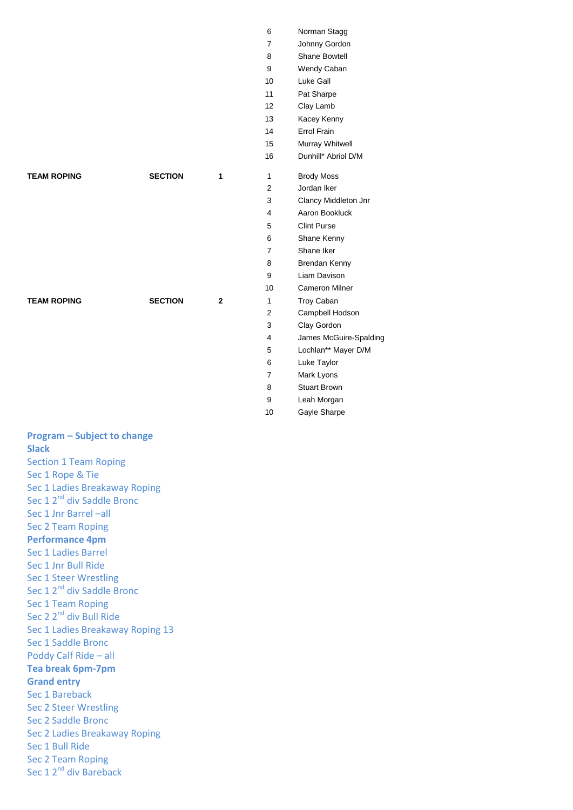|                    |                |              | 16             | Dunhill* Abri      |
|--------------------|----------------|--------------|----------------|--------------------|
| <b>TEAM ROPING</b> | <b>SECTION</b> | 1            | $\mathbf{1}$   | <b>Brody Moss</b>  |
|                    |                |              | 2              | Jordan Iker        |
|                    |                |              | 3              | <b>Clancy Midd</b> |
|                    |                |              | 4              | Aaron Bookl        |
|                    |                |              | 5              | <b>Clint Purse</b> |
|                    |                |              | 6              | Shane Kenn         |
|                    |                |              | 7              | Shane Iker         |
|                    |                |              | 8              | <b>Brendan Ker</b> |
|                    |                |              | 9              | Liam Daviso        |
|                    |                |              | 10             | Cameron Mi         |
| <b>TEAM ROPING</b> | <b>SECTION</b> | $\mathbf{2}$ | 1              | Troy Caban         |
|                    |                |              | $\overline{2}$ | Campbell Ho        |
|                    |                |              | 3              | Clay Gordon        |
|                    |                |              |                |                    |

| 6                       | Norman Stagg           |
|-------------------------|------------------------|
| 7                       | Johnny Gordon          |
| 8                       | Shane Bowtell          |
| 9                       | Wendy Caban            |
| 10                      | Luke Gall              |
| 11                      | Pat Sharpe             |
| 12                      | Clay Lamb              |
| 13                      | Kacey Kenny            |
| 14                      | Errol Frain            |
| 15                      | Murray Whitwell        |
| 16                      | Dunhill* Abriol D/M    |
| 1                       | <b>Brody Moss</b>      |
| $\overline{2}$          | Jordan Iker            |
| 3                       | Clancy Middleton Jnr   |
| $\overline{4}$          | Aaron Bookluck         |
| 5                       | <b>Clint Purse</b>     |
| 6                       | Shane Kenny            |
| 7                       | Shane Iker             |
| 8                       | Brendan Kenny          |
| 9                       | Liam Davison           |
| 10                      | Cameron Milner         |
| 1                       | <b>Troy Caban</b>      |
| $\overline{2}$          | Campbell Hodson        |
| 3                       | Clay Gordon            |
| $\overline{\mathbf{4}}$ | James McGuire-Spalding |
| 5                       | Lochlan** Mayer D/M    |
| 6                       | Luke Taylor            |
| $\overline{7}$          | Mark Lyons             |
| 8                       | Stuart Brown           |
| 9                       | Leah Morgan            |
| 10                      | Gayle Sharpe           |

## **Program – Subject to change Slack** Section 1 Team Roping Sec 1 Rope & Tie

Sec 1 Ladies Breakaway Roping Sec 1 2<sup>nd</sup> div Saddle Bronc Sec 1 Jnr Barrel –all Sec 2 Team Roping **Performance 4pm** Sec 1 Ladies Barrel Sec 1 Jnr Bull Ride Sec 1 Steer Wrestling Sec 1 2<sup>nd</sup> div Saddle Bronc Sec 1 Team Roping Sec 2 2<sup>nd</sup> div Bull Ride Sec 1 Ladies Breakaway Roping 13 Sec 1 Saddle Bronc Poddy Calf Ride – all **Tea break 6pm-7pm Grand entry** Sec 1 Bareback Sec 2 Steer Wrestling Sec 2 Saddle Bronc Sec 2 Ladies Breakaway Roping Sec 1 Bull Ride Sec 2 Team Roping Sec 1 2<sup>nd</sup> div Bareback